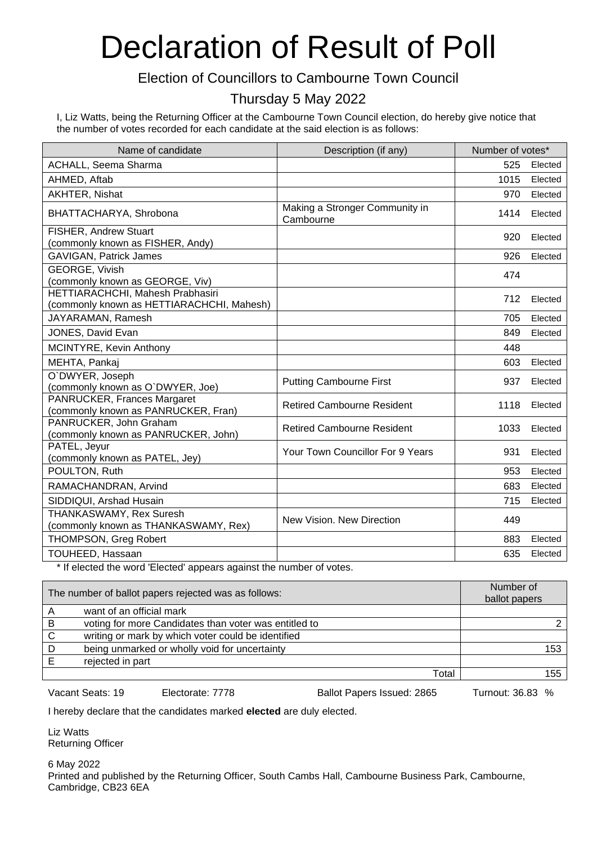#### Election of Councillors to Cambourne Town Council

#### Thursday 5 May 2022

I, Liz Watts, being the Returning Officer at the Cambourne Town Council election, do hereby give notice that the number of votes recorded for each candidate at the said election is as follows:

| Name of candidate                                                      | Description (if any)                        | Number of votes* |         |
|------------------------------------------------------------------------|---------------------------------------------|------------------|---------|
| ACHALL, Seema Sharma                                                   |                                             | 525              | Elected |
| AHMED, Aftab                                                           |                                             | 1015             | Elected |
| AKHTER, Nishat                                                         |                                             | 970              | Elected |
| BHATTACHARYA, Shrobona                                                 | Making a Stronger Community in<br>Cambourne | 1414             | Elected |
| FISHER, Andrew Stuart                                                  |                                             | 920              | Elected |
| (commonly known as FISHER, Andy)                                       |                                             |                  |         |
| <b>GAVIGAN, Patrick James</b>                                          |                                             | 926              | Elected |
| <b>GEORGE, Vivish</b><br>(commonly known as GEORGE, Viv)               |                                             | 474              |         |
| HETTIARACHCHI, Mahesh Prabhasiri                                       |                                             |                  |         |
| (commonly known as HETTIARACHCHI, Mahesh)                              |                                             | 712              | Elected |
| JAYARAMAN, Ramesh                                                      |                                             | 705              | Elected |
| JONES, David Evan                                                      |                                             | 849              | Elected |
| MCINTYRE, Kevin Anthony                                                |                                             | 448              |         |
| MEHTA, Pankaj                                                          |                                             | 603              | Elected |
| O`DWYER, Joseph<br>(commonly known as O'DWYER, Joe)                    | <b>Putting Cambourne First</b>              | 937              | Elected |
| PANRUCKER, Frances Margaret<br>(commonly known as PANRUCKER, Fran)     | <b>Retired Cambourne Resident</b>           | 1118             | Elected |
| PANRUCKER, John Graham<br>(commonly known as PANRUCKER, John)          | <b>Retired Cambourne Resident</b>           | 1033             | Elected |
| PATEL, Jeyur<br>(commonly known as PATEL, Jey)                         | <b>Your Town Councillor For 9 Years</b>     | 931              | Elected |
| POULTON, Ruth                                                          |                                             | 953              | Elected |
| RAMACHANDRAN, Arvind                                                   |                                             | 683              | Elected |
| SIDDIQUI, Arshad Husain                                                |                                             | 715              | Elected |
| <b>THANKASWAMY, Rex Suresh</b><br>(commonly known as THANKASWAMY, Rex) | New Vision, New Direction                   | 449              |         |
| <b>THOMPSON, Greg Robert</b>                                           |                                             | 883              | Elected |
| TOUHEED, Hassaan                                                       |                                             | 635              | Elected |

If elected the word 'Elected' appears against the number of votes.

|   | The number of ballot papers rejected was as follows:  | Number of<br>ballot papers |
|---|-------------------------------------------------------|----------------------------|
|   | want of an official mark                              |                            |
| B | voting for more Candidates than voter was entitled to |                            |
| C | writing or mark by which voter could be identified    |                            |
| D | being unmarked or wholly void for uncertainty         | 153                        |
|   | rejected in part                                      |                            |
|   | Total                                                 | 155                        |

Vacant Seats: 19 Electorate: 7778 Ballot Papers Issued: 2865 Turnout: 36.83 %

I hereby declare that the candidates marked **elected** are duly elected.

Liz Watts Returning Officer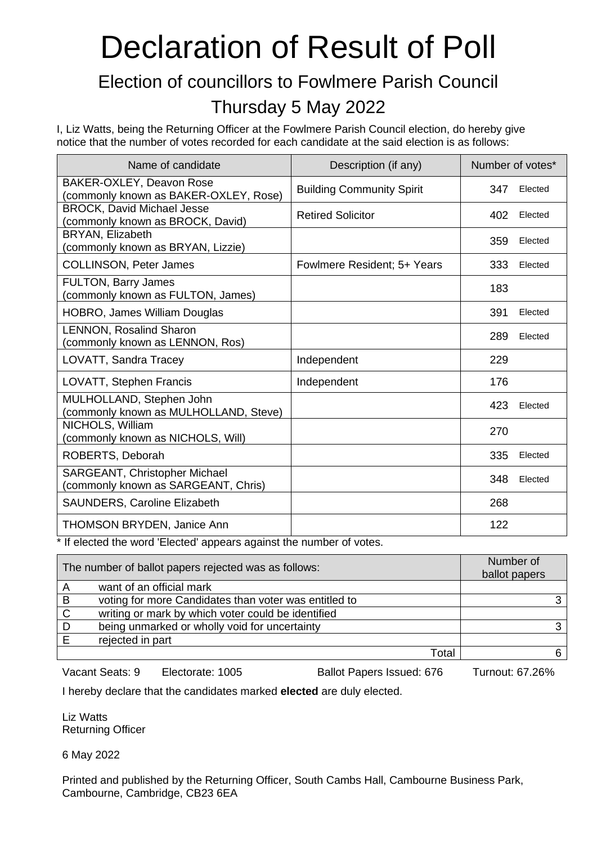### Election of councillors to Fowlmere Parish Council Thursday 5 May 2022

I, Liz Watts, being the Returning Officer at the Fowlmere Parish Council election, do hereby give notice that the number of votes recorded for each candidate at the said election is as follows:

| Name of candidate                                                     | Description (if any)             | Number of votes* |
|-----------------------------------------------------------------------|----------------------------------|------------------|
| BAKER-OXLEY, Deavon Rose<br>(commonly known as BAKER-OXLEY, Rose)     | <b>Building Community Spirit</b> | 347<br>Elected   |
| <b>BROCK, David Michael Jesse</b><br>(commonly known as BROCK, David) | <b>Retired Solicitor</b>         | 402<br>Elected   |
| BRYAN, Elizabeth<br>(commonly known as BRYAN, Lizzie)                 |                                  | 359<br>Elected   |
| <b>COLLINSON, Peter James</b>                                         | Fowlmere Resident; 5+ Years      | 333<br>Elected   |
| <b>FULTON, Barry James</b><br>(commonly known as FULTON, James)       |                                  | 183              |
| <b>HOBRO, James William Douglas</b>                                   |                                  | 391<br>Elected   |
| <b>LENNON, Rosalind Sharon</b><br>(commonly known as LENNON, Ros)     |                                  | 289<br>Elected   |
| LOVATT, Sandra Tracey                                                 | Independent                      | 229              |
| LOVATT, Stephen Francis                                               | Independent                      | 176              |
| MULHOLLAND, Stephen John<br>(commonly known as MULHOLLAND, Steve)     |                                  | 423<br>Elected   |
| NICHOLS, William<br>(commonly known as NICHOLS, Will)                 |                                  | 270              |
| ROBERTS, Deborah                                                      |                                  | 335<br>Elected   |
| SARGEANT, Christopher Michael<br>(commonly known as SARGEANT, Chris)  |                                  | 348<br>Elected   |
| <b>SAUNDERS, Caroline Elizabeth</b>                                   |                                  | 268              |
| <b>THOMSON BRYDEN, Janice Ann</b>                                     |                                  | 122              |

\* If elected the word 'Elected' appears against the number of votes.

| The number of ballot papers rejected was as follows: |                                                       | Number of<br>ballot papers |
|------------------------------------------------------|-------------------------------------------------------|----------------------------|
| A                                                    | want of an official mark                              |                            |
| B                                                    | voting for more Candidates than voter was entitled to |                            |
| C                                                    | writing or mark by which voter could be identified    |                            |
| D                                                    | being unmarked or wholly void for uncertainty         | ◠                          |
|                                                      | rejected in part                                      |                            |
|                                                      | Total                                                 |                            |

Vacant Seats: 9 Electorate: 1005 Ballot Papers Issued: 676 Turnout: 67.26%

I hereby declare that the candidates marked **elected** are duly elected.

Liz Watts Returning Officer

6 May 2022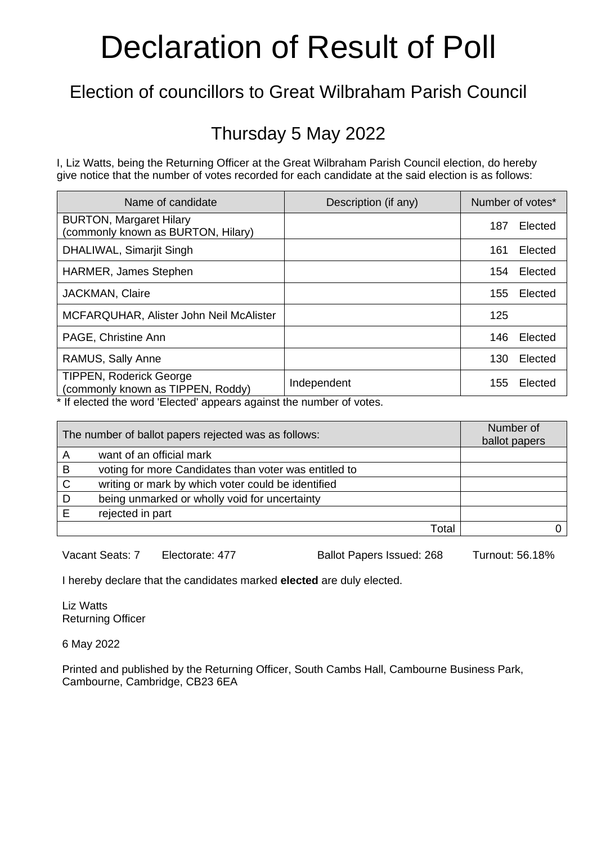### Election of councillors to Great Wilbraham Parish Council

#### Thursday 5 May 2022

I, Liz Watts, being the Returning Officer at the Great Wilbraham Parish Council election, do hereby give notice that the number of votes recorded for each candidate at the said election is as follows:

| Name of candidate                                                   | Description (if any) | Number of votes* |         |
|---------------------------------------------------------------------|----------------------|------------------|---------|
| <b>BURTON, Margaret Hilary</b><br>commonly known as BURTON, Hilary) |                      | 187              | Elected |
| DHALIWAL, Simarjit Singh                                            |                      | 161              | Elected |
| HARMER, James Stephen                                               |                      | 154              | Elected |
| <b>JACKMAN, Claire</b>                                              |                      | 155              | Elected |
| MCFARQUHAR, Alister John Neil McAlister                             |                      | 125              |         |
| PAGE, Christine Ann                                                 |                      | 146              | Elected |
| RAMUS, Sally Anne                                                   |                      | 130              | Elected |
| <b>TIPPEN, Roderick George</b><br>(commonly known as TIPPEN, Roddy) | Independent          | 155              | Elected |

\* If elected the word 'Elected' appears against the number of votes.

| The number of ballot papers rejected was as follows: |                                                       | Number of<br>ballot papers |  |
|------------------------------------------------------|-------------------------------------------------------|----------------------------|--|
| А                                                    | want of an official mark                              |                            |  |
| B                                                    | voting for more Candidates than voter was entitled to |                            |  |
| C                                                    | writing or mark by which voter could be identified    |                            |  |
| D                                                    | being unmarked or wholly void for uncertainty         |                            |  |
|                                                      | rejected in part                                      |                            |  |
|                                                      |                                                       | Total                      |  |

Vacant Seats: 7 Electorate: 477 Ballot Papers Issued: 268 Turnout: 56.18%

I hereby declare that the candidates marked **elected** are duly elected.

Liz Watts Returning Officer

6 May 2022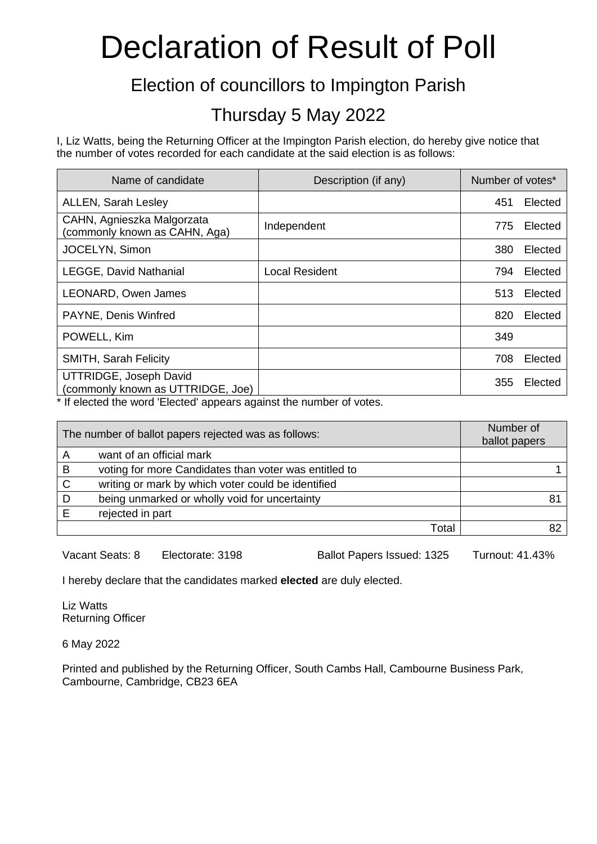#### Election of councillors to Impington Parish

#### Thursday 5 May 2022

I, Liz Watts, being the Returning Officer at the Impington Parish election, do hereby give notice that the number of votes recorded for each candidate at the said election is as follows:

| Name of candidate                                           | Description (if any)  | Number of votes* |         |
|-------------------------------------------------------------|-----------------------|------------------|---------|
| <b>ALLEN, Sarah Lesley</b>                                  |                       | 451              | Elected |
| CAHN, Agnieszka Malgorzata<br>commonly known as CAHN, Aga)  | Independent           | 775              | Elected |
| JOCELYN, Simon                                              |                       | 380              | Elected |
| <b>LEGGE, David Nathanial</b>                               | <b>Local Resident</b> | 794              | Elected |
| LEONARD, Owen James                                         |                       | 513              | Elected |
| PAYNE, Denis Winfred                                        |                       | 820              | Elected |
| POWELL, Kim                                                 |                       | 349              |         |
| <b>SMITH, Sarah Felicity</b>                                |                       | 708              | Elected |
| UTTRIDGE, Joseph David<br>(commonly known as UTTRIDGE, Joe) |                       | 355              | Elected |

\* If elected the word 'Elected' appears against the number of votes.

| The number of ballot papers rejected was as follows: |                                                       | Number of<br>ballot papers |  |
|------------------------------------------------------|-------------------------------------------------------|----------------------------|--|
| Α                                                    | want of an official mark                              |                            |  |
| B                                                    | voting for more Candidates than voter was entitled to |                            |  |
| C                                                    | writing or mark by which voter could be identified    |                            |  |
| D                                                    | being unmarked or wholly void for uncertainty         |                            |  |
| F                                                    | rejected in part                                      |                            |  |
|                                                      |                                                       | Total                      |  |

Vacant Seats: 8 Electorate: 3198 Ballot Papers Issued: 1325 Turnout: 41.43%

I hereby declare that the candidates marked **elected** are duly elected.

Liz Watts Returning Officer

6 May 2022